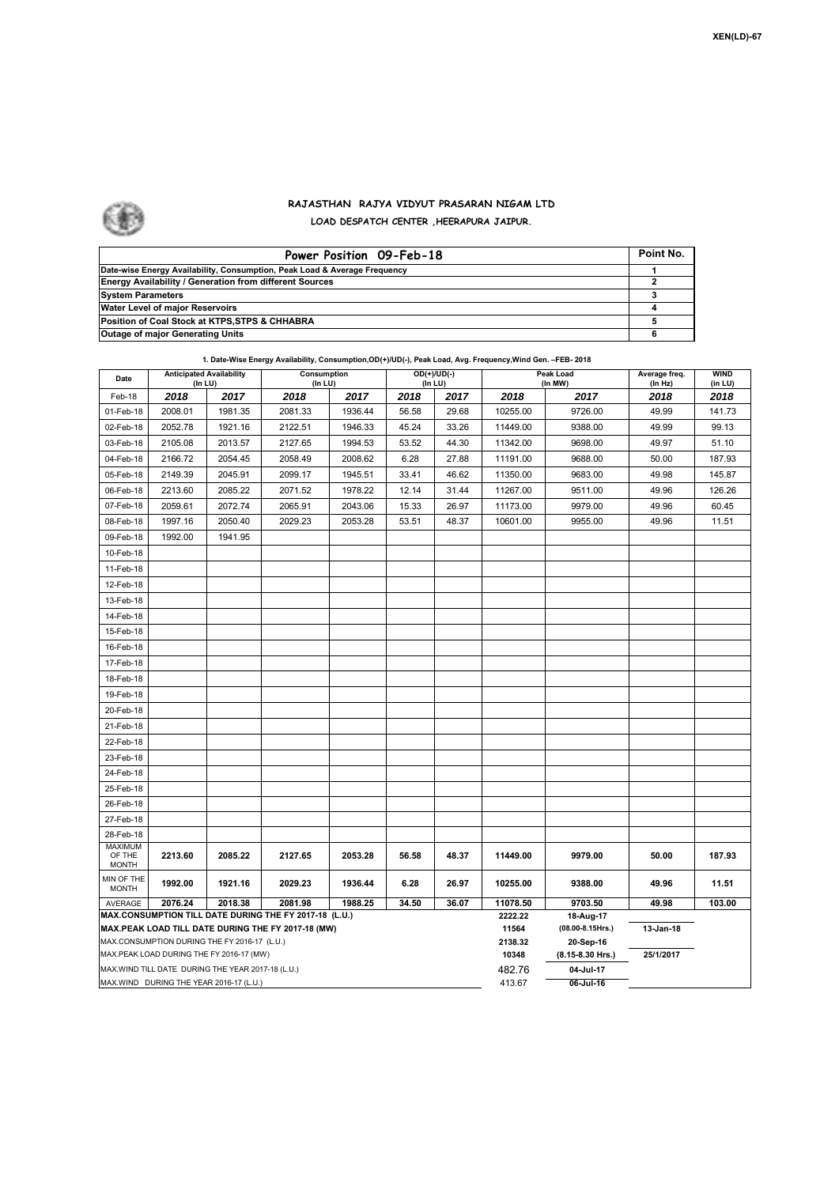

## **RAJASTHAN RAJYA VIDYUT PRASARAN NIGAM LTD LOAD DESPATCH CENTER ,HEERAPURA JAIPUR.**

| Power Position 09-Feb-18                                                  | Point No. |
|---------------------------------------------------------------------------|-----------|
| Date-wise Energy Availability, Consumption, Peak Load & Average Frequency |           |
| <b>Energy Availability / Generation from different Sources</b>            |           |
| <b>System Parameters</b>                                                  | з         |
| Water Level of major Reservoirs                                           |           |
| Position of Coal Stock at KTPS, STPS & CHHABRA                            |           |
| <b>Outage of major Generating Units</b>                                   |           |

## **1. Date-Wise Energy Availability, Consumption,OD(+)/UD(-), Peak Load, Avg. Frequency,Wind Gen. –FEB- 2018**

| Date                                                                                           | <b>Anticipated Availability</b><br>(In LU)   |         | Consumption<br>(In LU)                                 |         | (In LU) | OD(+)/UD(-) | <b>Peak Load</b><br>(In MW) |                               | Average freq.<br>(In Hz) | <b>WIND</b><br>(in LU) |
|------------------------------------------------------------------------------------------------|----------------------------------------------|---------|--------------------------------------------------------|---------|---------|-------------|-----------------------------|-------------------------------|--------------------------|------------------------|
| Feb-18                                                                                         | 2018                                         | 2017    | 2018                                                   | 2017    | 2018    | 2017        | 2018                        | 2017                          | 2018                     | 2018                   |
| 01-Feb-18                                                                                      | 2008.01                                      | 1981.35 | 2081.33                                                | 1936.44 | 56.58   | 29.68       | 10255.00                    | 9726.00                       | 49.99                    | 141.73                 |
| 02-Feb-18                                                                                      | 2052.78                                      | 1921.16 | 2122.51                                                | 1946.33 | 45.24   | 33.26       | 11449.00                    | 9388.00                       | 49.99                    | 99.13                  |
| 03-Feb-18                                                                                      | 2105.08                                      | 2013.57 | 2127.65                                                | 1994.53 | 53.52   | 44.30       | 11342.00                    | 9698.00                       | 49.97                    | 51.10                  |
| 04-Feb-18                                                                                      | 2166.72                                      | 2054.45 | 2058.49                                                | 2008.62 | 6.28    | 27.88       | 11191.00                    | 9688.00                       | 50.00                    | 187.93                 |
| 05-Feb-18                                                                                      | 2149.39                                      | 2045.91 | 2099.17                                                | 1945.51 | 33.41   | 46.62       | 11350.00                    | 9683.00                       | 49.98                    | 145.87                 |
| 06-Feb-18                                                                                      | 2213.60                                      | 2085.22 | 2071.52                                                | 1978.22 | 12.14   | 31.44       | 11267.00                    | 9511.00                       | 49.96                    | 126.26                 |
| 07-Feb-18                                                                                      | 2059.61                                      | 2072.74 | 2065.91                                                | 2043.06 | 15.33   | 26.97       | 11173.00                    | 9979.00                       | 49.96                    | 60.45                  |
| 08-Feb-18                                                                                      | 1997.16                                      | 2050.40 | 2029.23                                                | 2053.28 | 53.51   | 48.37       | 10601.00                    | 9955.00                       | 49.96                    | 11.51                  |
| 09-Feb-18                                                                                      | 1992.00                                      | 1941.95 |                                                        |         |         |             |                             |                               |                          |                        |
| 10-Feb-18                                                                                      |                                              |         |                                                        |         |         |             |                             |                               |                          |                        |
| 11-Feb-18                                                                                      |                                              |         |                                                        |         |         |             |                             |                               |                          |                        |
| 12-Feb-18                                                                                      |                                              |         |                                                        |         |         |             |                             |                               |                          |                        |
| 13-Feb-18                                                                                      |                                              |         |                                                        |         |         |             |                             |                               |                          |                        |
| 14-Feb-18                                                                                      |                                              |         |                                                        |         |         |             |                             |                               |                          |                        |
| 15-Feb-18                                                                                      |                                              |         |                                                        |         |         |             |                             |                               |                          |                        |
| 16-Feb-18                                                                                      |                                              |         |                                                        |         |         |             |                             |                               |                          |                        |
| 17-Feb-18                                                                                      |                                              |         |                                                        |         |         |             |                             |                               |                          |                        |
| 18-Feb-18                                                                                      |                                              |         |                                                        |         |         |             |                             |                               |                          |                        |
| 19-Feb-18                                                                                      |                                              |         |                                                        |         |         |             |                             |                               |                          |                        |
| 20-Feb-18                                                                                      |                                              |         |                                                        |         |         |             |                             |                               |                          |                        |
| 21-Feb-18                                                                                      |                                              |         |                                                        |         |         |             |                             |                               |                          |                        |
| 22-Feb-18                                                                                      |                                              |         |                                                        |         |         |             |                             |                               |                          |                        |
| 23-Feb-18                                                                                      |                                              |         |                                                        |         |         |             |                             |                               |                          |                        |
| 24-Feb-18                                                                                      |                                              |         |                                                        |         |         |             |                             |                               |                          |                        |
| 25-Feb-18                                                                                      |                                              |         |                                                        |         |         |             |                             |                               |                          |                        |
| 26-Feb-18                                                                                      |                                              |         |                                                        |         |         |             |                             |                               |                          |                        |
| 27-Feb-18                                                                                      |                                              |         |                                                        |         |         |             |                             |                               |                          |                        |
| 28-Feb-18                                                                                      |                                              |         |                                                        |         |         |             |                             |                               |                          |                        |
| <b>MAXIMUM</b><br>OF THE                                                                       | 2213.60                                      | 2085.22 | 2127.65                                                | 2053.28 | 56.58   | 48.37       | 11449.00                    | 9979.00                       | 50.00                    | 187.93                 |
| <b>MONTH</b>                                                                                   |                                              |         |                                                        |         |         |             |                             |                               |                          |                        |
| MIN OF THE<br><b>MONTH</b>                                                                     | 1992.00                                      | 1921.16 | 2029.23                                                | 1936.44 | 6.28    | 26.97       | 10255.00                    | 9388.00                       | 49.96                    | 11.51                  |
| AVERAGE                                                                                        | 2076.24                                      | 2018.38 | 2081.98                                                | 1988.25 | 34.50   | 36.07       | 11078.50                    | 9703.50                       | 49.98                    | 103.00                 |
|                                                                                                |                                              |         | MAX.CONSUMPTION TILL DATE DURING THE FY 2017-18 (L.U.) |         |         |             | 2222.22                     | 18-Aug-17                     |                          |                        |
|                                                                                                | MAX.CONSUMPTION DURING THE FY 2016-17 (L.U.) |         | MAX.PEAK LOAD TILL DATE DURING THE FY 2017-18 (MW)     |         |         |             | 11564<br>2138.32            | (08.00-8.15Hrs.)              | 13-Jan-18                |                        |
|                                                                                                |                                              |         |                                                        |         |         |             | 10348                       | 20-Sep-16<br>(8.15-8.30 Hrs.) | 25/1/2017                |                        |
| MAX.PEAK LOAD DURING THE FY 2016-17 (MW)<br>MAX. WIND TILL DATE DURING THE YEAR 2017-18 (L.U.) |                                              |         |                                                        |         |         |             | 482.76                      | 04-Jul-17                     |                          |                        |
| MAX.WIND DURING THE YEAR 2016-17 (L.U.)                                                        |                                              |         |                                                        |         |         |             | 413.67                      | 06-Jul-16                     |                          |                        |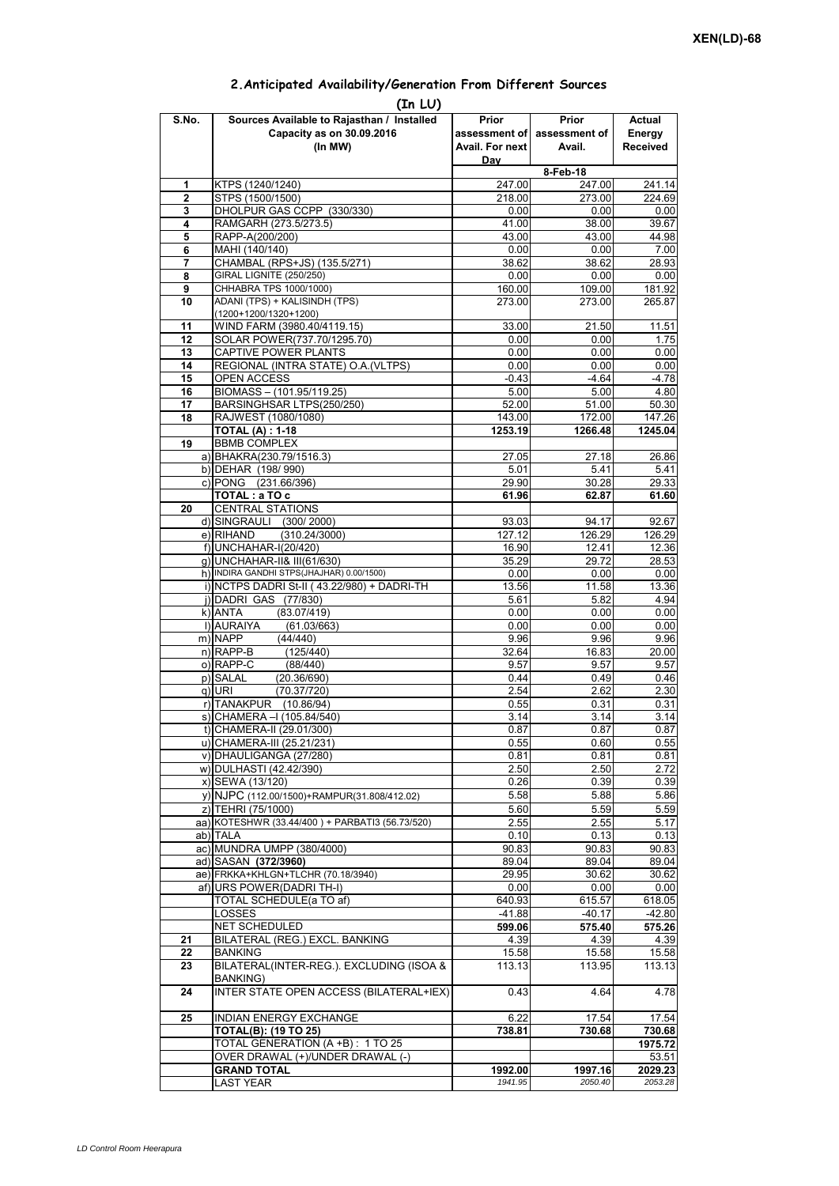| 2. Anticipated Availability/Generation From Different Sources |  |  |  |  |  |
|---------------------------------------------------------------|--|--|--|--|--|
|---------------------------------------------------------------|--|--|--|--|--|

| S.No.        | (In LU)<br>Sources Available to Rajasthan / Installed             | Prior           | Prior           | Actual            |
|--------------|-------------------------------------------------------------------|-----------------|-----------------|-------------------|
|              | Capacity as on 30.09.2016                                         | assessment of   | assessment of   | Energy            |
|              | (In MW)                                                           | Avail. For next | Avail.          | <b>Received</b>   |
|              |                                                                   | Day             |                 |                   |
|              |                                                                   |                 | 8-Feb-18        |                   |
| 1            | KTPS (1240/1240)                                                  | 247.00          | 247.00          | 241.14            |
| $\mathbf{2}$ | STPS (1500/1500)                                                  | 218.00          | 273.00          | 224.69            |
| 3<br>4       | DHOLPUR GAS CCPP (330/330)<br>RAMGARH (273.5/273.5)               | 0.00<br>41.00   | 0.00<br>38.00   | 0.00<br>39.67     |
| 5            | RAPP-A(200/200)                                                   | 43.00           | 43.00           | 44.98             |
| 6            | MAHI (140/140)                                                    | 0.00            | 0.00            | 7.00              |
| 7            | CHAMBAL (RPS+JS) (135.5/271)                                      | 38.62           | 38.62           | 28.93             |
| 8            | GIRAL LIGNITE (250/250)                                           | 0.00            | 0.00            | 0.00              |
| 9            | CHHABRA TPS 1000/1000)                                            | 160.00          | 109.00          | 181.92            |
| 10           | ADANI (TPS) + KALISINDH (TPS)<br>(1200+1200/1320+1200)            | 273.00          | 273.00          | 265.87            |
| 11           | WIND FARM (3980.40/4119.15)                                       | 33.00           | 21.50           | 11.51             |
| 12           | SOLAR POWER(737.70/1295.70)                                       | 0.00            | 0.00            | 1.75              |
| 13           | CAPTIVE POWER PLANTS                                              | 0.00            | 0.00            | 0.00              |
| 14           | REGIONAL (INTRA STATE) O.A. (VLTPS)                               | 0.00            | 0.00            | 0.00              |
| 15           | <b>OPEN ACCESS</b>                                                | $-0.43$         | $-4.64$         | $-4.78$           |
| 16           | BIOMASS-(101.95/119.25)                                           | 5.00            | 5.00            | 4.80              |
| 17<br>18     | BARSINGHSAR LTPS(250/250)                                         | 52.00<br>143.00 | 51.00<br>172.00 | 50.30<br>147.26   |
|              | RAJWEST (1080/1080)<br><b>TOTAL (A): 1-18</b>                     | 1253.19         | 1266.48         | 1245.04           |
| 19           | <b>BBMB COMPLEX</b>                                               |                 |                 |                   |
|              | a) BHAKRA(230.79/1516.3)                                          | 27.05           | 27.18           | 26.86             |
|              | b) DEHAR (198/990)                                                | 5.01            | 5.41            | 5.41              |
|              | c) PONG (231.66/396)                                              | 29.90           | 30.28           | 29.33             |
|              | TOTAL: a TO c                                                     | 61.96           | 62.87           | 61.60             |
| 20           | <b>CENTRAL STATIONS</b><br>d) SINGRAULI (300/2000)                |                 |                 |                   |
|              | e) RIHAND<br>(310.24/3000)                                        | 93.03<br>127.12 | 94.17<br>126.29 | 92.67<br>126.29   |
|              | f) UNCHAHAR-I(20/420)                                             | 16.90           | 12.41           | 12.36             |
|              | q) UNCHAHAR-II& III(61/630)                                       | 35.29           | 29.72           | 28.53             |
|              | h) INDIRA GANDHI STPS(JHAJHAR) 0.00/1500)                         | 0.00            | 0.00            | 0.00              |
|              | i) NCTPS DADRI St-II (43.22/980) + DADRI-TH                       | 13.56           | 11.58           | 13.36             |
|              | j) DADRI GAS (77/830)                                             | 5.61            | 5.82            | 4.94              |
|              | k) ANTA<br>(83.07/419)                                            | 0.00            | 0.00            | 0.00              |
|              | I) AURAIYA<br>(61.03/663)<br>m) NAPP<br>(44/440)                  | 0.00<br>9.96    | 0.00<br>9.96    | 0.00<br>9.96      |
|              | $n)$ RAPP-B<br>(125/440)                                          | 32.64           | 16.83           | 20.00             |
|              | o) RAPP-C<br>(88/440)                                             | 9.57            | 9.57            | 9.57              |
|              | p) SALAL<br>(20.36/690)                                           | 0.44            | 0.49            | 0.46              |
|              | (70.37/720)<br>q) URI                                             | 2.54            | 2.62            | 2.30              |
|              | r) TANAKPUR<br>(10.86/94)                                         | 0.55            | 0.31            | 0.31              |
|              | s) CHAMERA - (105.84/540)                                         | 3.14            | 3.14            | $\overline{3.14}$ |
|              | t) CHAMERA-II (29.01/300)                                         | 0.87            | 0.87            | 0.87              |
|              | u) CHAMERA-III (25.21/231)                                        | 0.55            | 0.60            | 0.55              |
|              | v) DHAULIGANGA (27/280)<br>w) DULHASTI (42.42/390)                | 0.81<br>2.50    | 0.81<br>2.50    | 0.81<br>2.72      |
|              | x) SEWA (13/120)                                                  | 0.26            | 0.39            | 0.39              |
|              | y) NJPC (112.00/1500)+RAMPUR(31.808/412.02)                       | 5.58            | 5.88            | 5.86              |
|              | z) TEHRI (75/1000)                                                | 5.60            | 5.59            | 5.59              |
|              | aa) KOTESHWR (33.44/400) + PARBATI3 (56.73/520)                   | 2.55            | 2.55            | 5.17              |
|              | ab) TALA                                                          | 0.10            | 0.13            | 0.13              |
|              | ac) MUNDRA UMPP (380/4000)                                        | 90.83           | 90.83           | 90.83             |
|              | ad) SASAN (372/3960)                                              | 89.04           | 89.04           | 89.04             |
|              | ae) FRKKA+KHLGN+TLCHR (70.18/3940)                                | 29.95           | 30.62           | 30.62             |
|              | af) URS POWER(DADRI TH-I)<br>TOTAL SCHEDULE(a TO af)              | 0.00<br>640.93  | 0.00<br>615.57  | 0.00<br>618.05    |
|              | LOSSES                                                            | $-41.88$        | $-40.17$        | $-42.80$          |
|              | NET SCHEDULED                                                     | 599.06          | 575.40          | 575.26            |
| 21           | BILATERAL (REG.) EXCL. BANKING                                    | 4.39            | 4.39            | 4.39              |
| 22           | <b>BANKING</b>                                                    | 15.58           | 15.58           | 15.58             |
| 23           | BILATERAL(INTER-REG.). EXCLUDING (ISOA &                          | 113.13          | 113.95          | 113.13            |
|              | <b>BANKING)</b><br><b>INTER STATE OPEN ACCESS (BILATERAL+IEX)</b> |                 | 4.64            |                   |
| 24           |                                                                   | 0.43            |                 | 4.78              |
| 25           | <b>INDIAN ENERGY EXCHANGE</b>                                     | 6.22            | 17.54           | 17.54             |
|              | <b>TOTAL(B): (19 TO 25)</b>                                       | 738.81          | 730.68          | 730.68            |
|              | TOTAL GENERATION (A +B) : 1 TO 25                                 |                 |                 | 1975.72           |
|              | OVER DRAWAL (+)/UNDER DRAWAL (-)                                  |                 |                 | 53.51             |
|              | <b>GRAND TOTAL</b>                                                | 1992.00         | 1997.16         | 2029.23           |
|              | LAST YEAR                                                         | 1941.95         | 2050.40         | 2053.28           |